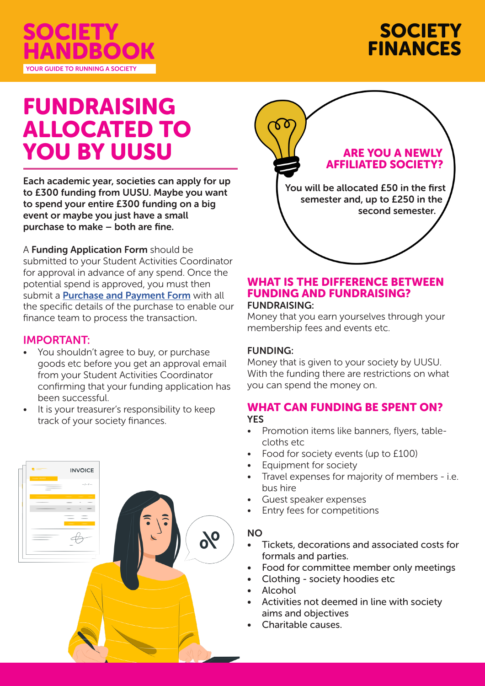



# FUNDRAISING ALLOCATED TO YOU BY UUSU

Each academic year, societies can apply for up to £300 funding from UUSU. Maybe you want to spend your entire £300 funding on a big event or maybe you just have a small purchase to make – both are fine.

A Funding Application Form should be submitted to your Student Activities Coordinator for approval in advance of any spend. Once the potential spend is approved, you must then submit a **Purchase and Payment Form** with all the specific details of the purchase to enable our finance team to process the transaction.

## IMPORTANT:

- You shouldn't agree to buy, or purchase goods etc before you get an approval email from your Student Activities Coordinator confirming that your funding application has been successful.
- It is your treasurer's responsibility to keep track of your society finances.





## WHAT IS THE DIFFERENCE BETWEEN FUNDING AND FUNDRAISING? FUNDRAISING:

Money that you earn yourselves through your membership fees and events etc.

# FUNDING:

Money that is given to your society by UUSU. With the funding there are restrictions on what you can spend the money on.

### WHAT CAN FUNDING BE SPENT ON? **YES**

- Promotion items like banners, flyers, tablecloths etc
- Food for society events (up to £100)
- Equipment for society
- Travel expenses for majority of members i.e. bus hire
- Guest speaker expenses
- Entry fees for competitions

### NO

- Tickets, decorations and associated costs for formals and parties.
- Food for committee member only meetings
- Clothing society hoodies etc
- **Alcohol**
- Activities not deemed in line with society aims and objectives
- Charitable causes.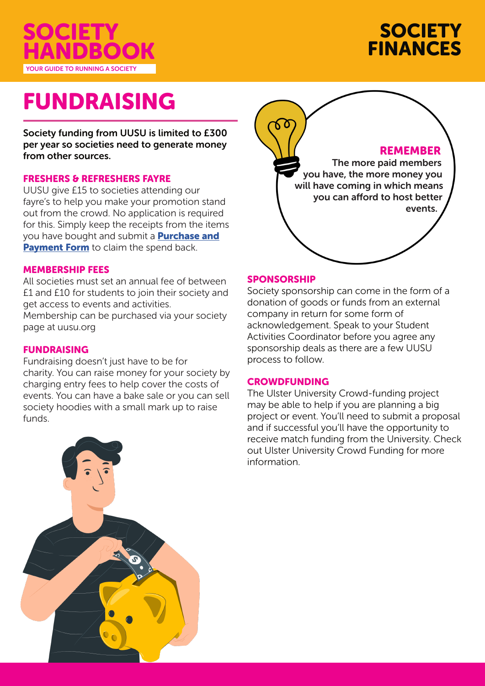



# FUNDRAISING

Society funding from UUSU is limited to £300 per year so societies need to generate money from other sources.

#### FRESHERS & REFRESHERS FAYRE

UUSU give £15 to societies attending our fayre's to help you make your promotion stand out from the crowd. No application is required for this. Simply keep the receipts from the items you have bought and submit a **Purchase and** Payment Form to claim the spend back.

#### MEMBERSHIP FEES

All societies must set an annual fee of between £1 and £10 for students to join their society and get access to events and activities. Membership can be purchased via your society page at uusu.org

#### FUNDRAISING

Fundraising doesn't just have to be for charity. You can raise money for your society by charging entry fees to help cover the costs of events. You can have a bake sale or you can sell society hoodies with a small mark up to raise funds.





#### SPONSORSHIP

Society sponsorship can come in the form of a donation of goods or funds from an external company in return for some form of acknowledgement. Speak to your Student Activities Coordinator before you agree any sponsorship deals as there are a few UUSU process to follow.

#### **CROWDFUNDING**

The Ulster University Crowd-funding project may be able to help if you are planning a big project or event. You'll need to submit a proposal and if successful you'll have the opportunity to receive match funding from the University. Check out Ulster University Crowd Funding for more information.